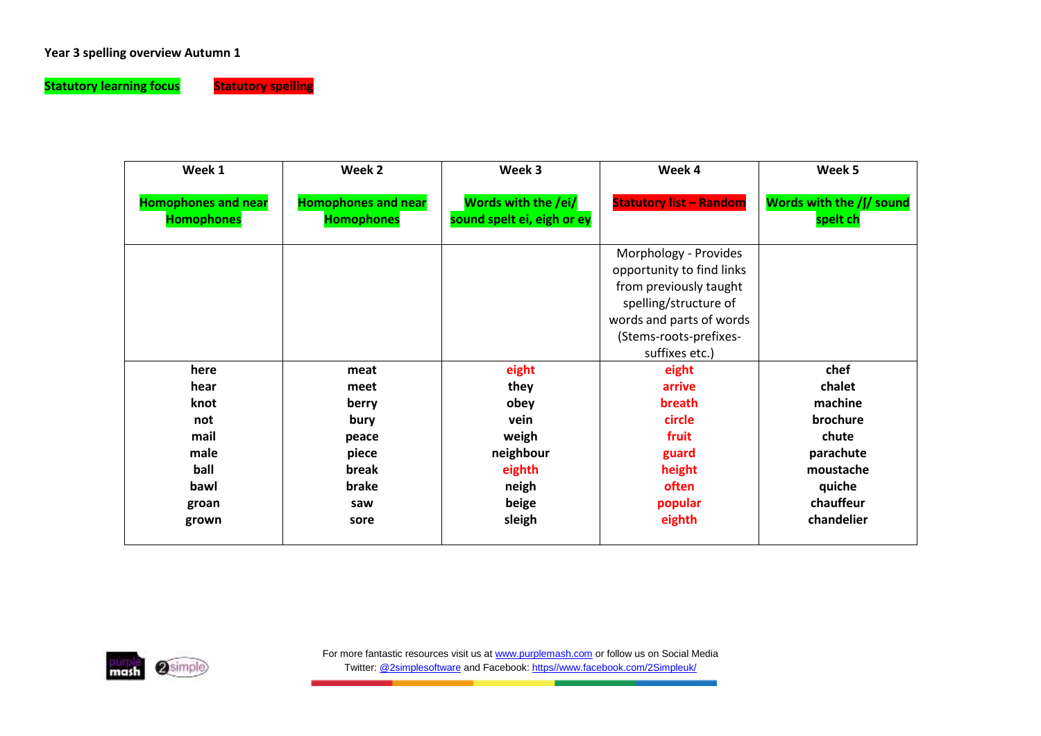## **Year 3 spelling overview Autumn 1**

**Statutory learning focus** Statutory spelling



| Week 1                                          | Week 2                                          | Week 3<br>Week 4                                                                                                                                                              |                                | Week 5                               |  |
|-------------------------------------------------|-------------------------------------------------|-------------------------------------------------------------------------------------------------------------------------------------------------------------------------------|--------------------------------|--------------------------------------|--|
| <b>Homophones and near</b><br><b>Homophones</b> | <b>Homophones and near</b><br><b>Homophones</b> | Words with the /ei/<br>sound spelt ei, eigh or ey                                                                                                                             | <b>Statutory list - Random</b> | Words with the /f/ sound<br>spelt ch |  |
|                                                 |                                                 | Morphology - Provides<br>opportunity to find links<br>from previously taught<br>spelling/structure of<br>words and parts of words<br>(Stems-roots-prefixes-<br>suffixes etc.) |                                |                                      |  |
| here                                            | meat                                            | eight                                                                                                                                                                         | eight                          | chef                                 |  |
| hear                                            | meet                                            | they                                                                                                                                                                          | arrive                         | chalet                               |  |
| knot                                            | berry                                           | obey                                                                                                                                                                          | breath                         | machine                              |  |
| not                                             | bury                                            | vein                                                                                                                                                                          | circle                         | brochure                             |  |
| mail                                            | peace                                           | weigh                                                                                                                                                                         | fruit                          | chute                                |  |
| male                                            | piece                                           | neighbour                                                                                                                                                                     | guard                          | parachute                            |  |
| ball                                            | break                                           | eighth                                                                                                                                                                        | height                         | moustache                            |  |
| bawl                                            | brake                                           | neigh                                                                                                                                                                         | often                          | quiche                               |  |
| groan                                           | saw                                             | beige                                                                                                                                                                         | popular                        | chauffeur                            |  |
| grown                                           | sore                                            | sleigh                                                                                                                                                                        | eighth                         | chandelier                           |  |

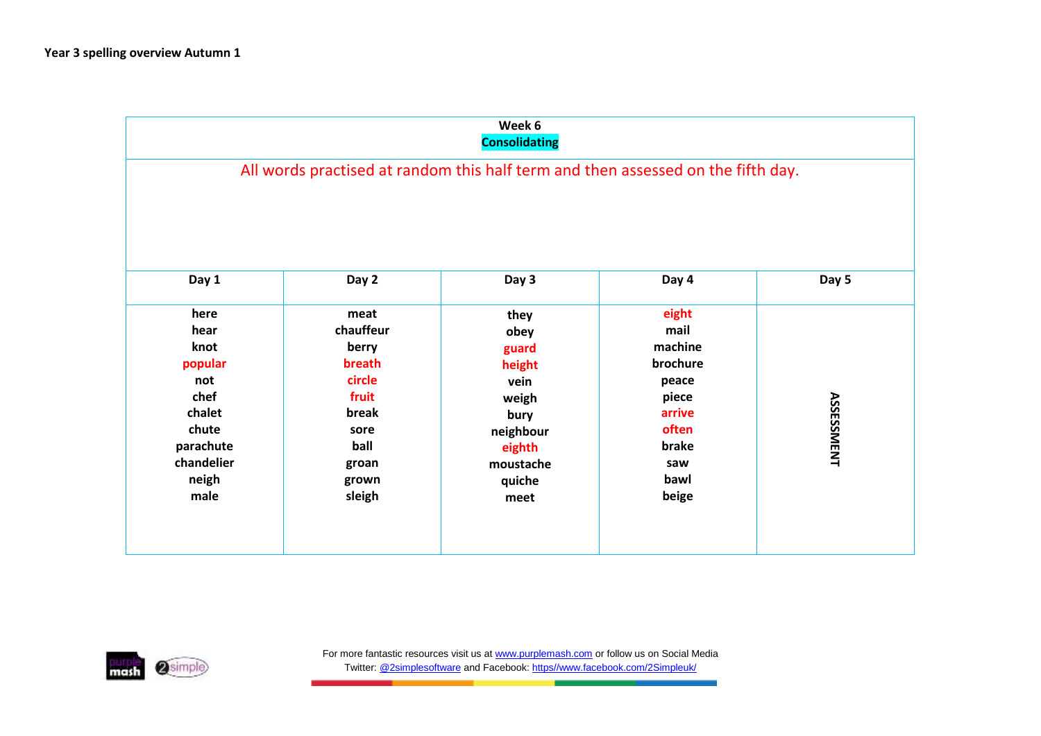|            |           | Week 6<br><b>Consolidating</b>                                                   |          |                   |
|------------|-----------|----------------------------------------------------------------------------------|----------|-------------------|
|            |           | All words practised at random this half term and then assessed on the fifth day. |          |                   |
| Day 1      | Day 2     | Day 3                                                                            | Day 4    | Day 5             |
| here       | meat      | they                                                                             | eight    |                   |
| hear       | chauffeur | obey                                                                             | mail     |                   |
| knot       | berry     | guard                                                                            | machine  |                   |
| popular    | breath    | height                                                                           | brochure |                   |
| not        | circle    | vein                                                                             | peace    |                   |
| chef       | fruit     | weigh                                                                            | piece    |                   |
| chalet     | break     | bury                                                                             | arrive   | <b>ASSESSMENT</b> |
| chute      | sore      | neighbour                                                                        | often    |                   |
| parachute  | ball      | eighth                                                                           | brake    |                   |
| chandelier | groan     | moustache                                                                        | saw      |                   |
|            | grown     | quiche                                                                           | bawl     |                   |
| neigh      |           |                                                                                  | beige    |                   |

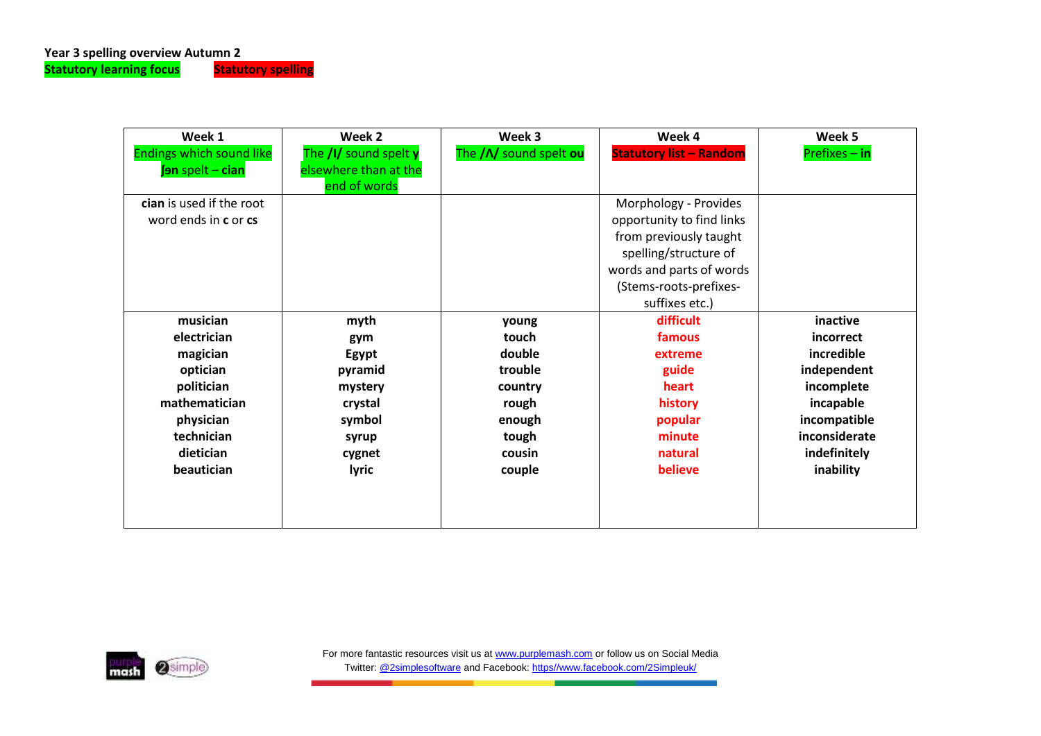**Statutory learning focus** 

| Week 1                          | Week 2                                | Week 3                  | Week 4                         | Week 5          |
|---------------------------------|---------------------------------------|-------------------------|--------------------------------|-----------------|
| <b>Endings which sound like</b> | The /I/ sound spelt y                 | The / N/ sound spelt ou | <b>Statutory list - Random</b> | $Prefixes - in$ |
| fon spelt - cian                | elsewhere than at the<br>end of words |                         |                                |                 |
| cian is used if the root        |                                       |                         | Morphology - Provides          |                 |
| word ends in c or cs            |                                       |                         | opportunity to find links      |                 |
|                                 |                                       |                         | from previously taught         |                 |
|                                 |                                       |                         | spelling/structure of          |                 |
|                                 |                                       |                         | words and parts of words       |                 |
|                                 |                                       |                         | (Stems-roots-prefixes-         |                 |
|                                 |                                       |                         | suffixes etc.)                 |                 |
| musician                        | myth                                  | young                   | difficult                      | inactive        |
| electrician                     | gym                                   | touch                   | famous                         | incorrect       |
| magician                        | Egypt                                 | double                  | extreme                        | incredible      |
| optician                        | pyramid                               | trouble                 | guide                          | independent     |
| politician                      | mystery                               | country                 | heart                          | incomplete      |
| mathematician                   | crystal                               | rough                   | history                        | incapable       |
| physician                       | symbol                                | enough                  | popular                        | incompatible    |
| technician                      | syrup                                 | tough                   | minute                         | inconsiderate   |
| dietician                       | cygnet                                | cousin                  | natural                        | indefinitely    |
| beautician                      | <b>lyric</b>                          | believe<br>couple       |                                | inability       |
|                                 |                                       |                         |                                |                 |
|                                 |                                       |                         |                                |                 |
|                                 |                                       |                         |                                |                 |

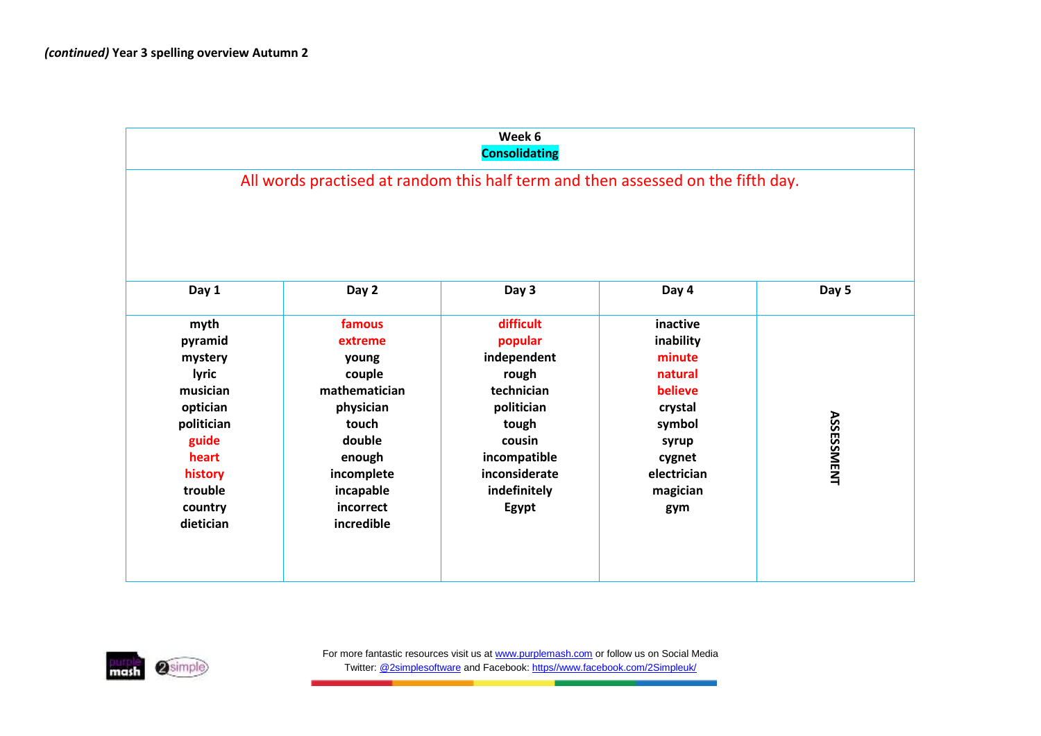|                                                                                                                                           |                                                                                                                                                       | Week 6<br><b>Consolidating</b>                                                                                                                        |                                                                                                                                 |                   |
|-------------------------------------------------------------------------------------------------------------------------------------------|-------------------------------------------------------------------------------------------------------------------------------------------------------|-------------------------------------------------------------------------------------------------------------------------------------------------------|---------------------------------------------------------------------------------------------------------------------------------|-------------------|
|                                                                                                                                           | All words practised at random this half term and then assessed on the fifth day.                                                                      |                                                                                                                                                       |                                                                                                                                 |                   |
| Day 1                                                                                                                                     | Day 2                                                                                                                                                 | Day 3                                                                                                                                                 | Day 4                                                                                                                           | Day 5             |
| myth<br>pyramid<br>mystery<br>lyric<br>musician<br>optician<br>politician<br>guide<br>heart<br>history<br>trouble<br>country<br>dietician | famous<br>extreme<br>young<br>couple<br>mathematician<br>physician<br>touch<br>double<br>enough<br>incomplete<br>incapable<br>incorrect<br>incredible | difficult<br>popular<br>independent<br>rough<br>technician<br>politician<br>tough<br>cousin<br>incompatible<br>inconsiderate<br>indefinitely<br>Egypt | inactive<br>inability<br>minute<br>natural<br>believe<br>crystal<br>symbol<br>syrup<br>cygnet<br>electrician<br>magician<br>gym | <b>ASSESSMENT</b> |

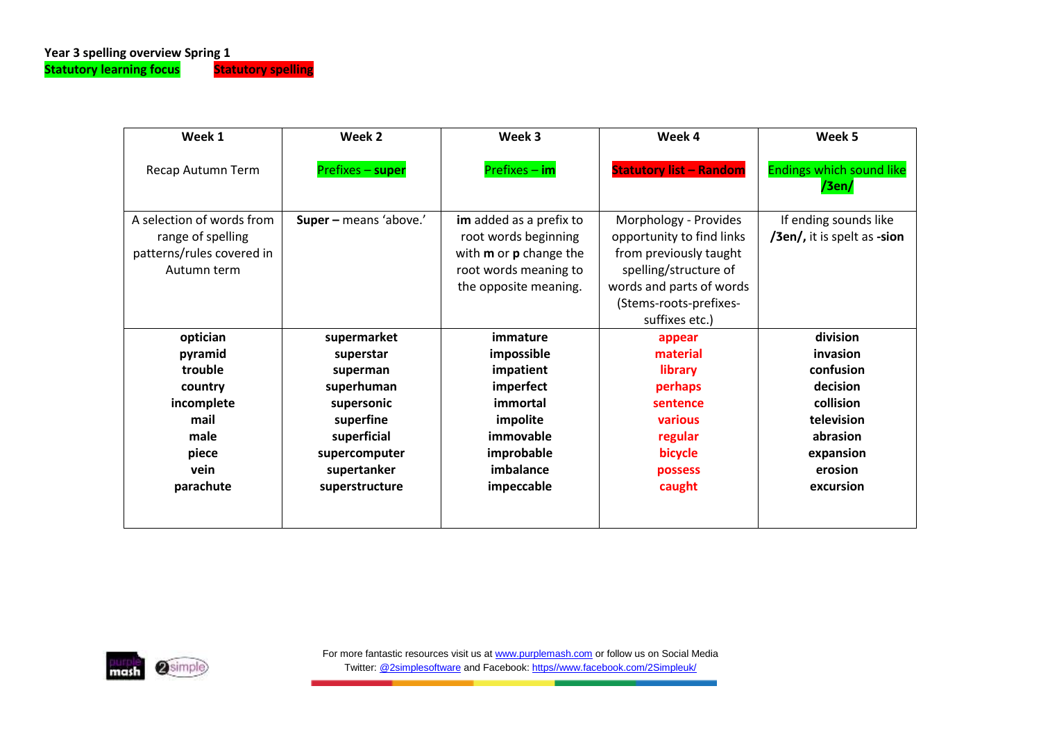| Week 1                                                                                     | Week 2                 | Week 3                                                                                                                                    | Week 4                                                                                                                                                                        | Week 5                                               |  |
|--------------------------------------------------------------------------------------------|------------------------|-------------------------------------------------------------------------------------------------------------------------------------------|-------------------------------------------------------------------------------------------------------------------------------------------------------------------------------|------------------------------------------------------|--|
| Recap Autumn Term                                                                          | Prefixes - super       | Prefixes - im                                                                                                                             | <b>Statutory list - Random</b>                                                                                                                                                | <b>Endings which sound like</b><br>/3en/             |  |
| A selection of words from<br>range of spelling<br>patterns/rules covered in<br>Autumn term | Super - means 'above.' | im added as a prefix to<br>root words beginning<br>with <b>m</b> or <b>p</b> change the<br>root words meaning to<br>the opposite meaning. | Morphology - Provides<br>opportunity to find links<br>from previously taught<br>spelling/structure of<br>words and parts of words<br>(Stems-roots-prefixes-<br>suffixes etc.) | If ending sounds like<br>/3en/, it is spelt as -sion |  |
| optician                                                                                   | supermarket            | immature                                                                                                                                  | appear                                                                                                                                                                        | division                                             |  |
| pyramid                                                                                    | superstar              | impossible                                                                                                                                | material                                                                                                                                                                      | invasion                                             |  |
| trouble                                                                                    | superman               | impatient                                                                                                                                 | library                                                                                                                                                                       | confusion                                            |  |
| country                                                                                    | superhuman             | imperfect                                                                                                                                 | perhaps                                                                                                                                                                       | decision                                             |  |
| incomplete                                                                                 | supersonic             | immortal                                                                                                                                  | sentence                                                                                                                                                                      | collision                                            |  |
| mail                                                                                       | superfine              | impolite                                                                                                                                  | various                                                                                                                                                                       | television                                           |  |
| male                                                                                       | superficial            | immovable                                                                                                                                 | regular                                                                                                                                                                       | abrasion                                             |  |
| piece                                                                                      | supercomputer          | improbable                                                                                                                                | bicycle                                                                                                                                                                       | expansion                                            |  |
| vein                                                                                       | supertanker            | imbalance                                                                                                                                 | possess                                                                                                                                                                       | erosion                                              |  |
| parachute                                                                                  | superstructure         | impeccable                                                                                                                                | caught                                                                                                                                                                        | excursion                                            |  |

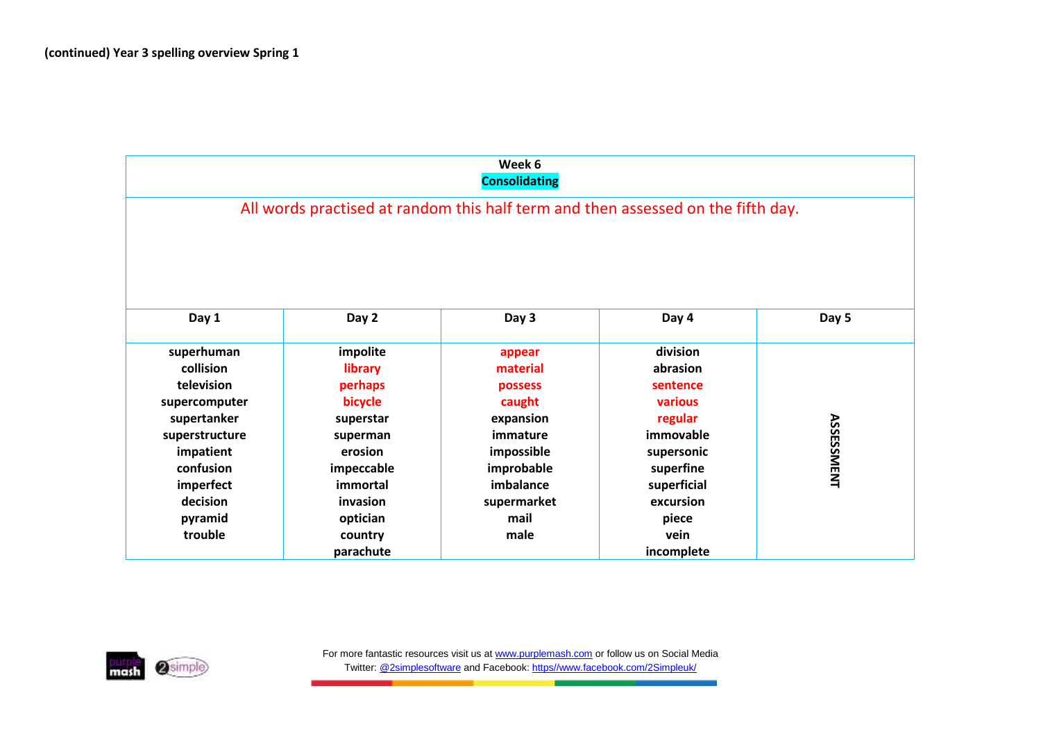|                |            | Week 6<br><b>Consolidating</b> |                                                                                  |                   |
|----------------|------------|--------------------------------|----------------------------------------------------------------------------------|-------------------|
|                |            |                                | All words practised at random this half term and then assessed on the fifth day. |                   |
|                |            |                                |                                                                                  |                   |
|                |            |                                |                                                                                  |                   |
|                |            |                                |                                                                                  |                   |
|                |            |                                |                                                                                  |                   |
| Day 1          | Day 2      | Day 3                          | Day 4                                                                            | Day 5             |
| superhuman     | impolite   | appear                         | division                                                                         |                   |
| collision      | library    | material                       | abrasion                                                                         |                   |
| television     | perhaps    | possess                        | sentence                                                                         |                   |
| supercomputer  | bicycle    | caught                         | various                                                                          |                   |
| supertanker    | superstar  | expansion                      | regular                                                                          |                   |
| superstructure | superman   | immature                       | immovable                                                                        | <b>ASSESSMENT</b> |
| impatient      | erosion    | impossible                     | supersonic                                                                       |                   |
| confusion      | impeccable | improbable                     | superfine                                                                        |                   |
| imperfect      | immortal   | imbalance                      | superficial                                                                      |                   |
| decision       | invasion   | supermarket                    | excursion                                                                        |                   |
| pyramid        | optician   | mail                           | piece                                                                            |                   |
| trouble        | country    | male                           | vein                                                                             |                   |
|                | parachute  |                                | incomplete                                                                       |                   |

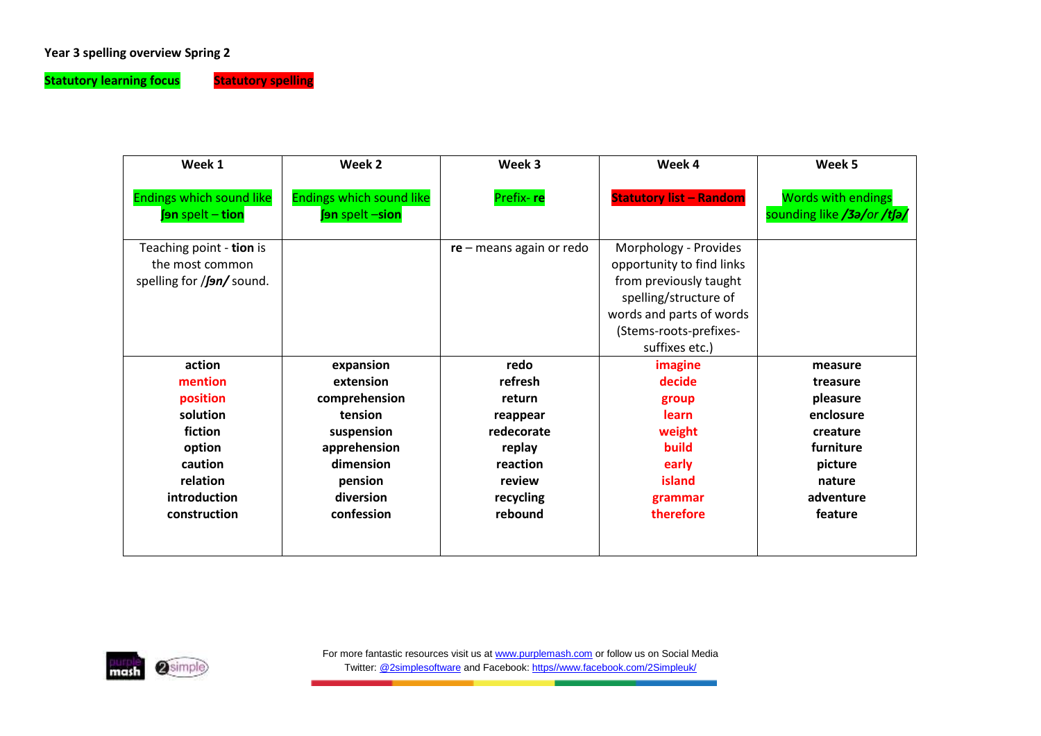# **Year 3 spelling overview Spring 2**

**Statutory learning focus** Statutory spelling

| Week 2                                             | Week 3<br>Week 4           |                                                                                                                                                                               | Week 5                                                  |
|----------------------------------------------------|----------------------------|-------------------------------------------------------------------------------------------------------------------------------------------------------------------------------|---------------------------------------------------------|
| <b>Endings which sound like</b><br>fon spelt -sion | Prefix-re                  | <b>Statutory list - Random</b>                                                                                                                                                | <b>Words with endings</b><br>sounding like /3a/or /tfa/ |
|                                                    | $re$ – means again or redo | Morphology - Provides<br>opportunity to find links<br>from previously taught<br>spelling/structure of<br>words and parts of words<br>(Stems-roots-prefixes-<br>suffixes etc.) |                                                         |
| expansion                                          | redo                       | imagine                                                                                                                                                                       | measure                                                 |
| extension                                          | refresh                    | decide                                                                                                                                                                        | treasure                                                |
| comprehension                                      | return                     | group                                                                                                                                                                         | pleasure                                                |
| tension                                            | reappear                   | learn                                                                                                                                                                         | enclosure                                               |
| suspension                                         | redecorate                 | weight                                                                                                                                                                        | creature                                                |
| apprehension                                       | replay                     | build                                                                                                                                                                         | furniture                                               |
| dimension                                          | reaction                   | early                                                                                                                                                                         | picture                                                 |
| pension                                            | review                     | island                                                                                                                                                                        | nature                                                  |
| diversion                                          | recycling                  | grammar                                                                                                                                                                       | adventure                                               |
| confession                                         | rebound                    | therefore                                                                                                                                                                     | feature                                                 |
|                                                    |                            |                                                                                                                                                                               |                                                         |

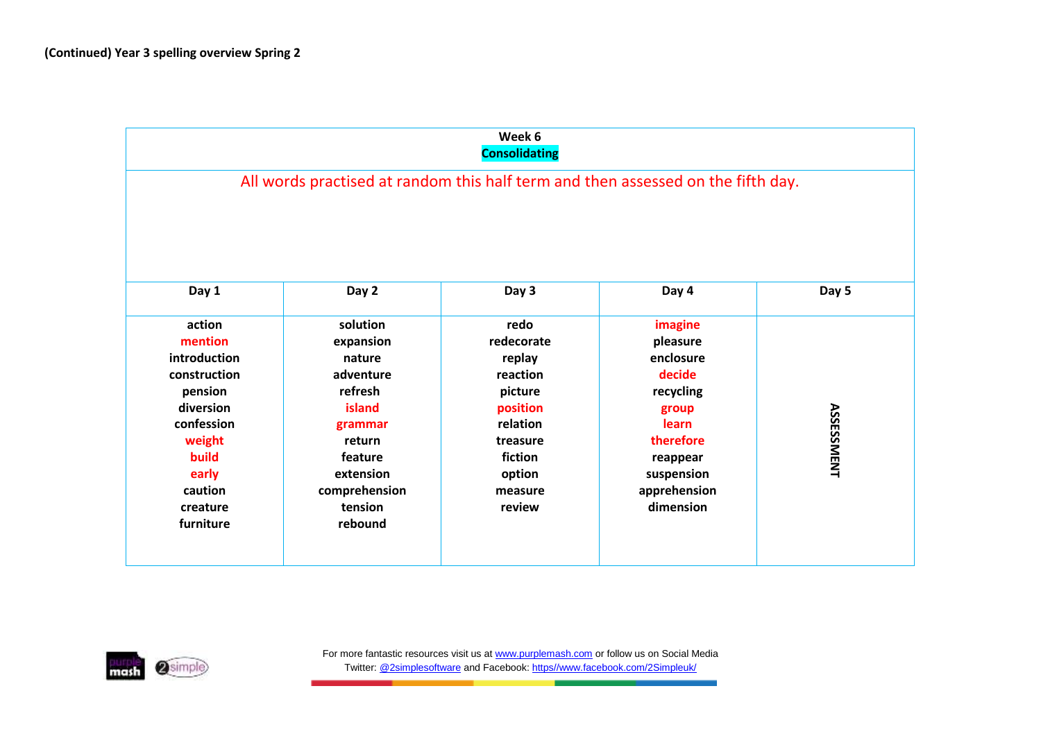|                                                                                                                                                         |                                                                                                                                                       | Week 6<br><b>Consolidating</b>                                                                                                    |                                                                                                                                               |                   |
|---------------------------------------------------------------------------------------------------------------------------------------------------------|-------------------------------------------------------------------------------------------------------------------------------------------------------|-----------------------------------------------------------------------------------------------------------------------------------|-----------------------------------------------------------------------------------------------------------------------------------------------|-------------------|
|                                                                                                                                                         |                                                                                                                                                       |                                                                                                                                   | All words practised at random this half term and then assessed on the fifth day.                                                              |                   |
| Day 1                                                                                                                                                   | Day 2                                                                                                                                                 | Day 3                                                                                                                             | Day 4                                                                                                                                         | Day 5             |
| action<br>mention<br>introduction<br>construction<br>pension<br>diversion<br>confession<br>weight<br>build<br>early<br>caution<br>creature<br>furniture | solution<br>expansion<br>nature<br>adventure<br>refresh<br>island<br>grammar<br>return<br>feature<br>extension<br>comprehension<br>tension<br>rebound | redo<br>redecorate<br>replay<br>reaction<br>picture<br>position<br>relation<br>treasure<br>fiction<br>option<br>measure<br>review | imagine<br>pleasure<br>enclosure<br>decide<br>recycling<br>group<br>learn<br>therefore<br>reappear<br>suspension<br>apprehension<br>dimension | <b>ASSESSMENT</b> |

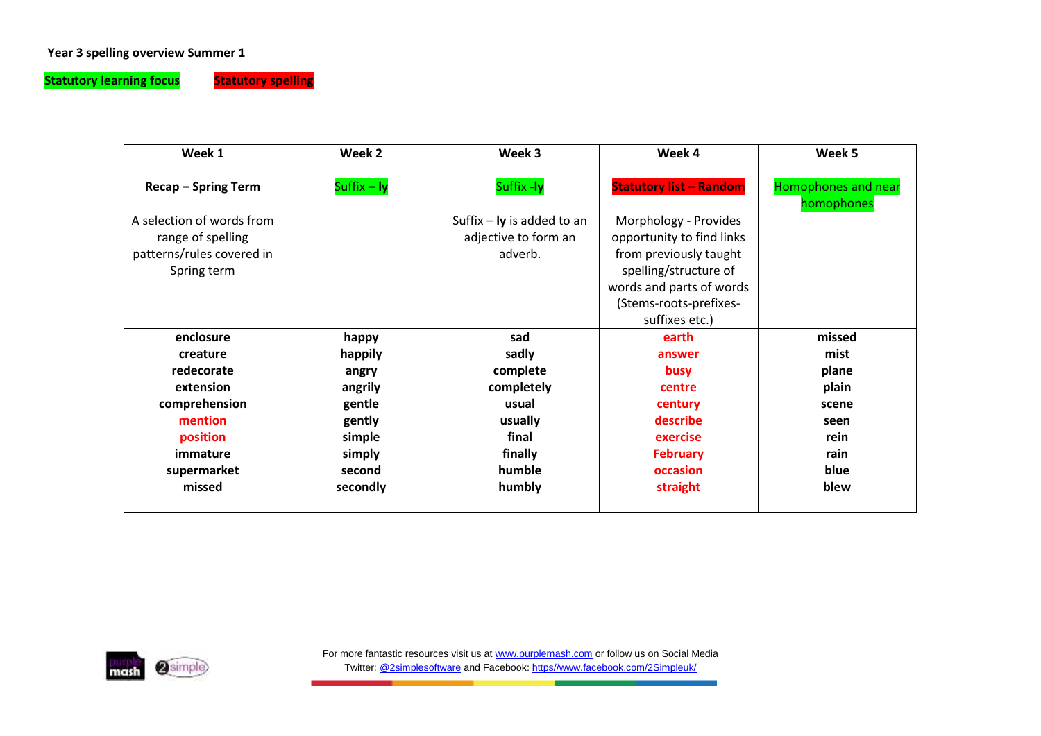## **Year 3 spelling overview Summer 1**

**Statutory learning focus** Statutory spelling

| Week 1                     | Week 2      | Week 3<br>Week 4             |                                | Week 5                                   |
|----------------------------|-------------|------------------------------|--------------------------------|------------------------------------------|
| <b>Recap - Spring Term</b> | Suffix - ly | Suffix -ly                   | <b>Statutory list - Random</b> | <b>Homophones and near</b><br>homophones |
| A selection of words from  |             | Suffix $-$ ly is added to an | Morphology - Provides          |                                          |
| range of spelling          |             | adjective to form an         | opportunity to find links      |                                          |
| patterns/rules covered in  |             | adverb.                      | from previously taught         |                                          |
| Spring term                |             |                              | spelling/structure of          |                                          |
|                            |             |                              | words and parts of words       |                                          |
|                            |             |                              | (Stems-roots-prefixes-         |                                          |
|                            |             |                              | suffixes etc.)                 |                                          |
| enclosure                  | happy       | sad                          | earth                          | missed                                   |
| creature                   | happily     | sadly                        | answer                         | mist                                     |
| redecorate                 | angry       | complete                     | busy                           | plane                                    |
| extension                  | angrily     | completely                   | centre                         | plain                                    |
| comprehension              | gentle      | usual                        | century                        | scene                                    |
| mention                    | gently      | usually                      | describe                       | seen                                     |
| position                   | simple      | final                        | exercise                       | rein                                     |
| immature                   | simply      | finally                      | <b>February</b>                | rain                                     |
| supermarket                | second      | humble                       | occasion                       | blue                                     |
| missed                     | secondly    | humbly                       | straight                       | blew                                     |
|                            |             |                              |                                |                                          |

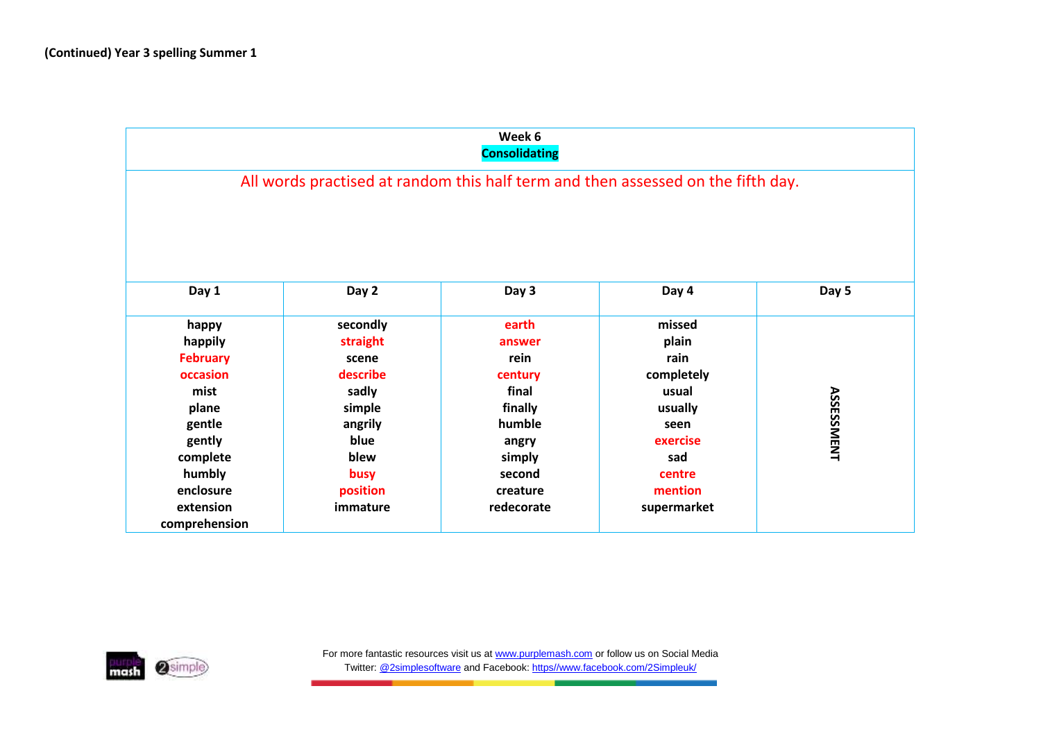|                 |          | Week 6<br><b>Consolidating</b> |                                                                                  |                   |
|-----------------|----------|--------------------------------|----------------------------------------------------------------------------------|-------------------|
|                 |          |                                | All words practised at random this half term and then assessed on the fifth day. |                   |
|                 |          |                                |                                                                                  |                   |
|                 |          |                                |                                                                                  |                   |
| Day 1           | Day 2    | Day 3                          | Day 4                                                                            | Day 5             |
| happy           | secondly | earth                          | missed                                                                           |                   |
| happily         | straight | answer                         | plain                                                                            |                   |
| <b>February</b> | scene    | rein                           | rain                                                                             |                   |
| occasion        | describe | century                        | completely                                                                       |                   |
| mist            | sadly    | final                          | usual                                                                            |                   |
| plane           | simple   | finally                        | usually                                                                          |                   |
| gentle          | angrily  | humble                         | seen                                                                             | <b>ASSESSMENT</b> |
| gently          | blue     | angry                          | exercise                                                                         |                   |
| complete        | blew     | simply                         | sad                                                                              |                   |
| humbly          | busy     | second                         | centre                                                                           |                   |
| enclosure       | position | creature                       | mention                                                                          |                   |
| extension       | immature | redecorate                     | supermarket                                                                      |                   |
| comprehension   |          |                                |                                                                                  |                   |

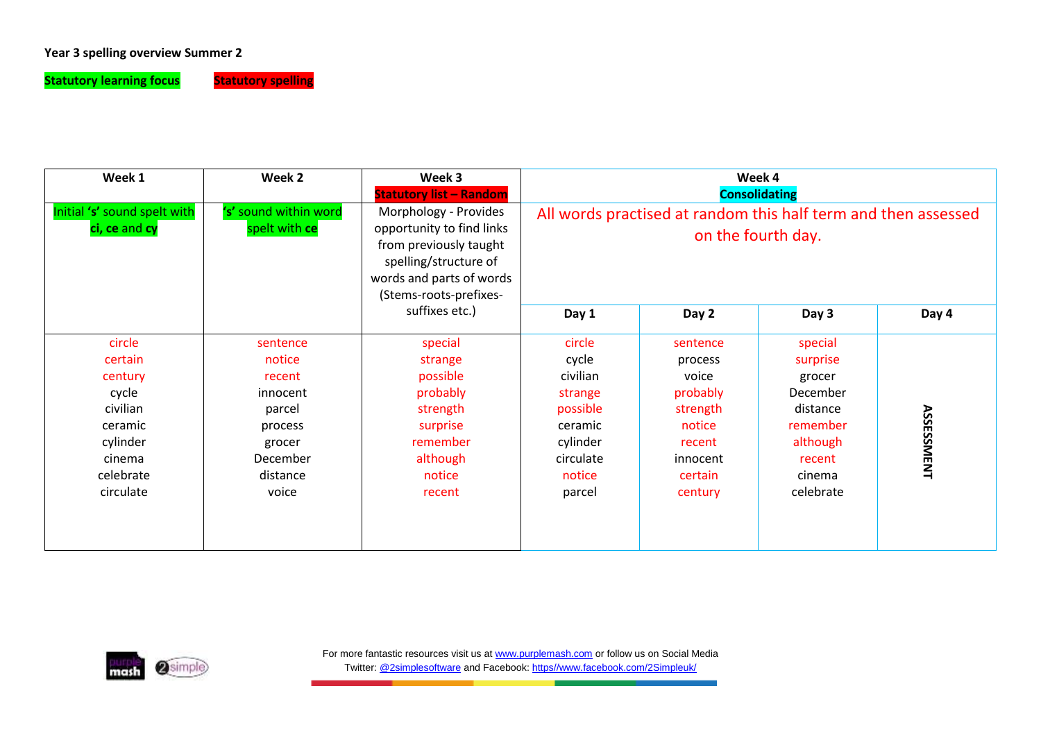## **Year 3 spelling overview Summer 2**

**Statutory learning focus** Statutory spelling

| Week 1                                                                                                       | Week 2                                                                                                   | Week 3<br><b>Statutory list - Random</b>                                                                                                                    | Week 4<br><b>Consolidating</b>                                                                             |                                                                                                            |                                                                                                                |                   |
|--------------------------------------------------------------------------------------------------------------|----------------------------------------------------------------------------------------------------------|-------------------------------------------------------------------------------------------------------------------------------------------------------------|------------------------------------------------------------------------------------------------------------|------------------------------------------------------------------------------------------------------------|----------------------------------------------------------------------------------------------------------------|-------------------|
| Initial 's' sound spelt with<br>ci, ce and cy                                                                | 's' sound within word<br>spelt with ce                                                                   | Morphology - Provides<br>opportunity to find links<br>from previously taught<br>spelling/structure of<br>words and parts of words<br>(Stems-roots-prefixes- | All words practised at random this half term and then assessed<br>on the fourth day.                       |                                                                                                            |                                                                                                                |                   |
|                                                                                                              |                                                                                                          | suffixes etc.)                                                                                                                                              | Day 1                                                                                                      | Day 2                                                                                                      | Day 3                                                                                                          | Day 4             |
| circle<br>certain<br>century<br>cycle<br>civilian<br>ceramic<br>cylinder<br>cinema<br>celebrate<br>circulate | sentence<br>notice<br>recent<br>innocent<br>parcel<br>process<br>grocer<br>December<br>distance<br>voice | special<br>strange<br>possible<br>probably<br>strength<br>surprise<br>remember<br>although<br>notice<br>recent                                              | circle<br>cycle<br>civilian<br>strange<br>possible<br>ceramic<br>cylinder<br>circulate<br>notice<br>parcel | sentence<br>process<br>voice<br>probably<br>strength<br>notice<br>recent<br>innocent<br>certain<br>century | special<br>surprise<br>grocer<br>December<br>distance<br>remember<br>although<br>recent<br>cinema<br>celebrate | <b>ASSESSMENT</b> |